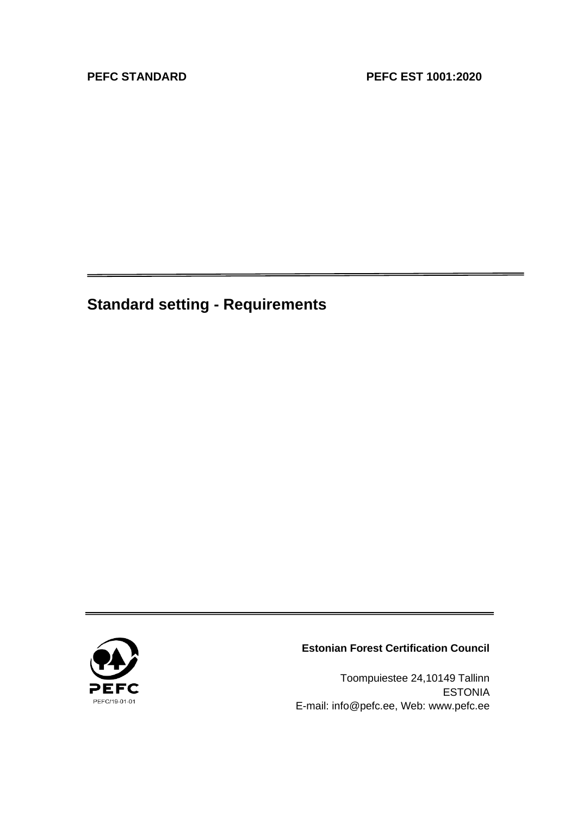**Standard setting - Requirements**



## **Estonian Forest Certification Council**

Toompuiestee 24,10149 Tallinn ESTONIA E-mail: info@pefc.ee, Web: www.pefc.ee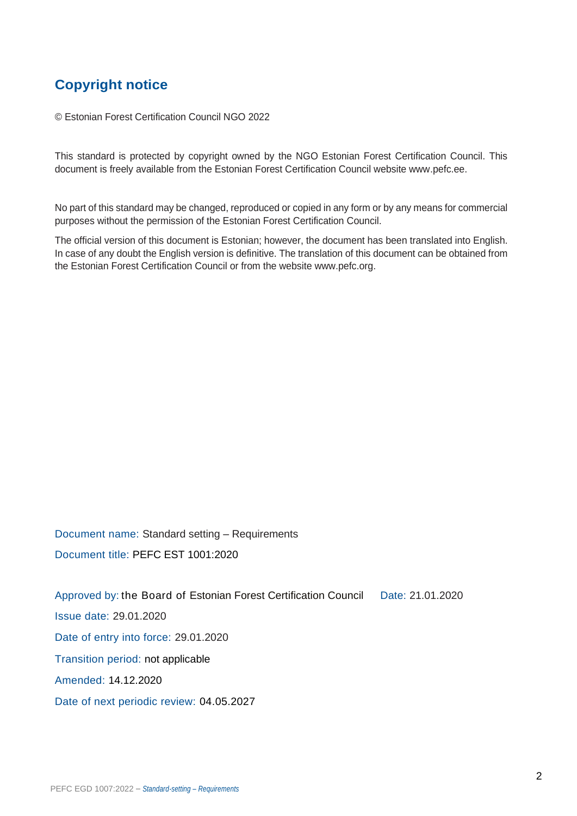# **Copyright notice**

© Estonian Forest Certification Council NGO 2022

This standard is protected by copyright owned by the NGO Estonian Forest Certification Council. This document is freely available from the Estonian Forest Certification Council website www.pefc.ee.

No part of this standard may be changed, reproduced or copied in any form or by any means for commercial purposes without the permission of the Estonian Forest Certification Council.

The official version of this document is Estonian; however, the document has been translated into English. In case of any doubt the English version is definitive. The translation of this document can be obtained from the Estonian Forest Certification Council or from the website www.pefc.org.

Document name: Standard setting – Requirements Document title: PEFC EST 1001:2020

Approved by: the Board of Estonian Forest Certification Council Date: 21.01.2020 Issue date: 29.01.2020 Date of entry into force: 29.01.2020 Transition period: not applicable Amended: 14.12.2020 Date of next periodic review: 04.05.2027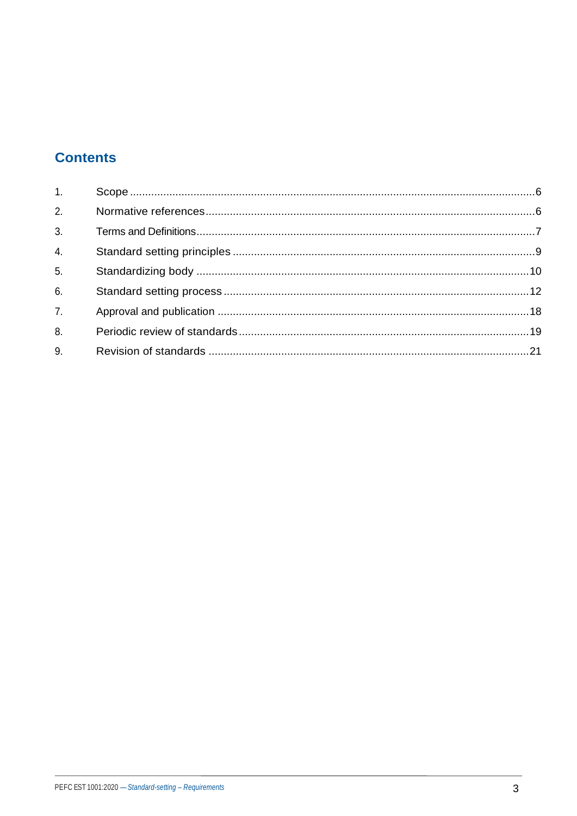# **Contents**

| 1.               |  |
|------------------|--|
| 2.               |  |
| 3.               |  |
| 4.               |  |
| 5.               |  |
| 6.               |  |
| $\overline{7}$ . |  |
| 8.               |  |
| 9.               |  |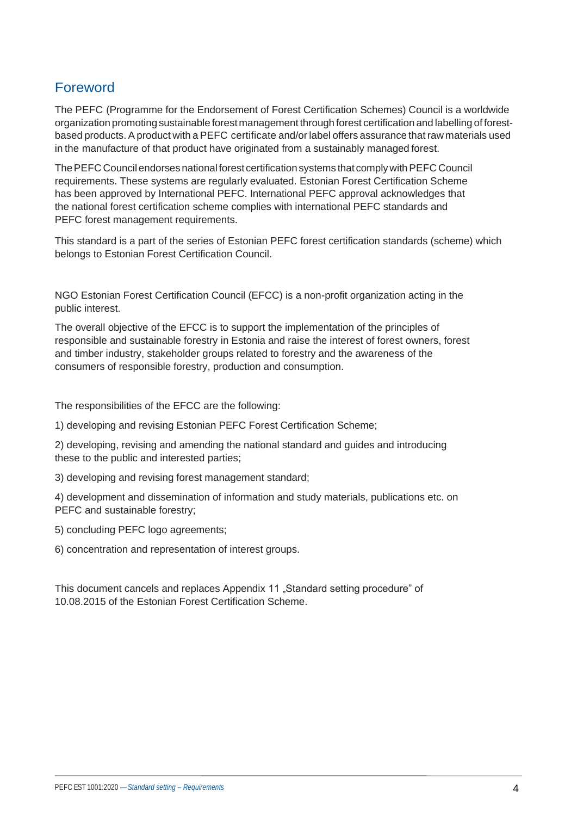## Foreword

The PEFC (Programme for the Endorsement of Forest Certification Schemes) Council is a worldwide organization promoting sustainable forest management through forest certification and labelling of forestbased products.A product with a PEFC certificate and/or label offers assurance that raw materials used in the manufacture of that product have originated from a sustainably managed forest.

The PEFC Council endorses national forest certification systems that comply with PEFC Council requirements. These systems are regularly evaluated. Estonian Forest Certification Scheme has been approved by International PEFC. International PEFC approval acknowledges that the national forest certification scheme complies with international PEFC standards and PEFC forest management requirements.

This standard is a part of the series of Estonian PEFC forest certification standards (scheme) which belongs to Estonian Forest Certification Council.

NGO Estonian Forest Certification Council (EFCC) is a non-profit organization acting in the public interest.

The overall objective of the EFCC is to support the implementation of the principles of responsible and sustainable forestry in Estonia and raise the interest of forest owners, forest and timber industry, stakeholder groups related to forestry and the awareness of the consumers of responsible forestry, production and consumption.

The responsibilities of the EFCC are the following:

1) developing and revising Estonian PEFC Forest Certification Scheme;

2) developing, revising and amending the national standard and guides and introducing these to the public and interested parties;

3) developing and revising forest management standard;

4) development and dissemination of information and study materials, publications etc. on PEFC and sustainable forestry;

5) concluding PEFC logo agreements;

6) concentration and representation of interest groups.

This document cancels and replaces Appendix 11 . Standard setting procedure" of 10.08.2015 of the Estonian Forest Certification Scheme.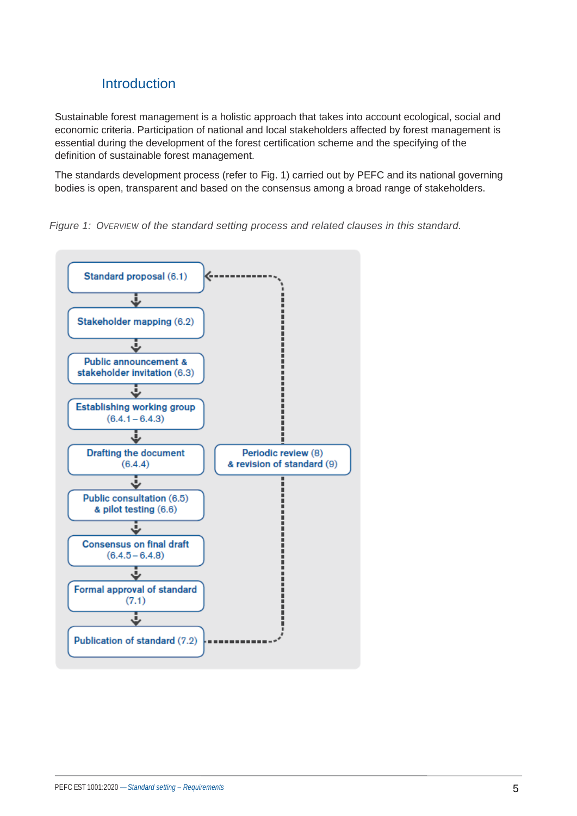## **Introduction**

Sustainable forest management is a holistic approach that takes into account ecological, social and economic criteria. Participation of national and local stakeholders affected by forest management is essential during the development of the forest certification scheme and the specifying of the definition of sustainable forest management.

The standards development process (refer to Fig. 1) carried out by PEFC and its national governing bodies is open, transparent and based on the consensus among a broad range of stakeholders.

*Figure 1: OVERVIEW of the standard setting process and related clauses in this standard.*

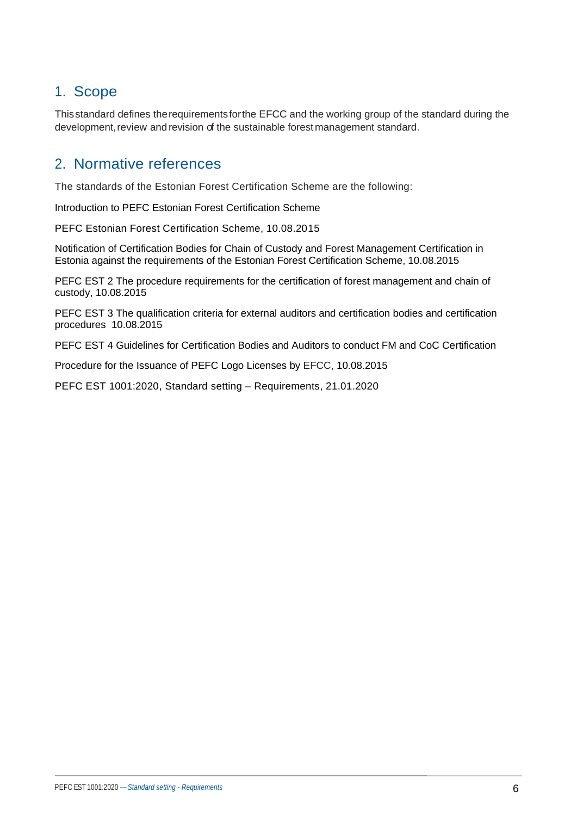## <span id="page-5-0"></span>1. Scope

Thisstandard defines therequirementsforthe EFCC and the working group of the standard during the development, review and revision of the sustainable forest management standard.

## <span id="page-5-1"></span>2. Normative references

The standards of the Estonian Forest Certification Scheme are the following:

Introduction to PEFC Estonian Forest Certification Scheme

PEFC Estonian Forest Certification Scheme, 10.08.2015

Notification of Certification Bodies for Chain of Custody and Forest Management Certification in Estonia against the requirements of the Estonian Forest Certification Scheme, 10.08.2015

PEFC EST 2 The procedure requirements for the certification of forest management and chain of custody, 10.08.2015

PEFC EST 3 The qualification criteria for external auditors and certification bodies and certification procedures 10.08.2015

PEFC EST 4 Guidelines for Certification Bodies and Auditors to conduct FM and CoC Certification

Procedure for the Issuance of PEFC Logo Licenses by EFCC, 10.08.2015

PEFC EST 1001:2020, Standard setting – Requirements, 21.01.2020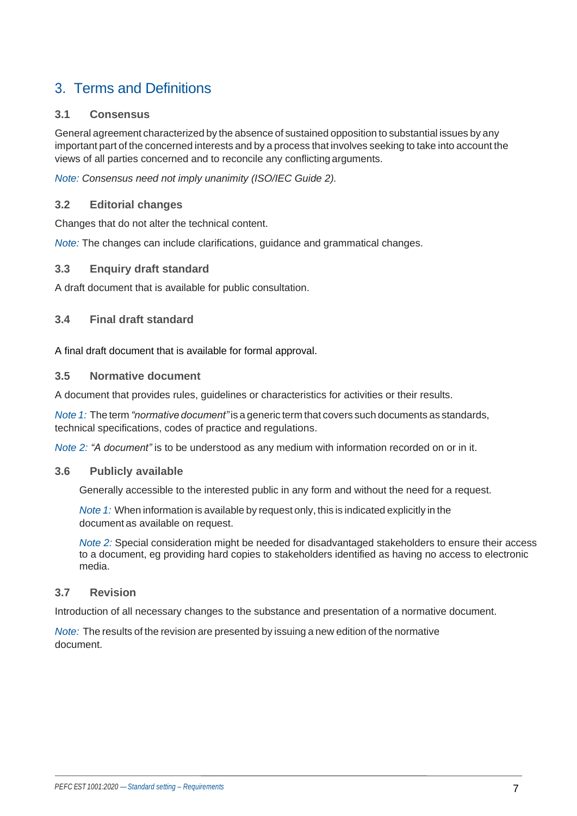# <span id="page-6-0"></span>3. Terms and Definitions

## **3.1 Consensus**

General agreement characterized by the absence of sustained opposition to substantial issues by any important part of the concerned interests and by a process that involves seeking to take into account the views of all parties concerned and to reconcile any conflicting arguments.

*Note: Consensus need not imply unanimity (ISO/IEC Guide 2).*

## **3.2 Editorial changes**

Changes that do not alter the technical content.

*Note:* The changes can include clarifications, guidance and grammatical changes.

## **3.3 Enquiry draft standard**

A draft document that is available for public consultation.

## **3.4 Final draft standard**

A final draft document that is available for formal approval.

#### **3.5 Normative document**

A document that provides rules, guidelines or characteristics for activities or their results.

*Note 1:* The term *"normative document"*is a generic term that covers such documents as standards, technical specifications, codes of practice and regulations.

*Note 2: "A document"* is to be understood as any medium with information recorded on or in it.

#### **3.6 Publicly available**

Generally accessible to the interested public in any form and without the need for a request.

*Note 1:* When information is available by request only, this is indicated explicitly in the document as available on request.

*Note 2:* Special consideration might be needed for disadvantaged stakeholders to ensure their access to a document, eg providing hard copies to stakeholders identified as having no access to electronic media.

## **3.7 Revision**

Introduction of all necessary changes to the substance and presentation of a normative document.

*Note:* The results of the revision are presented by issuing a new edition of the normative document.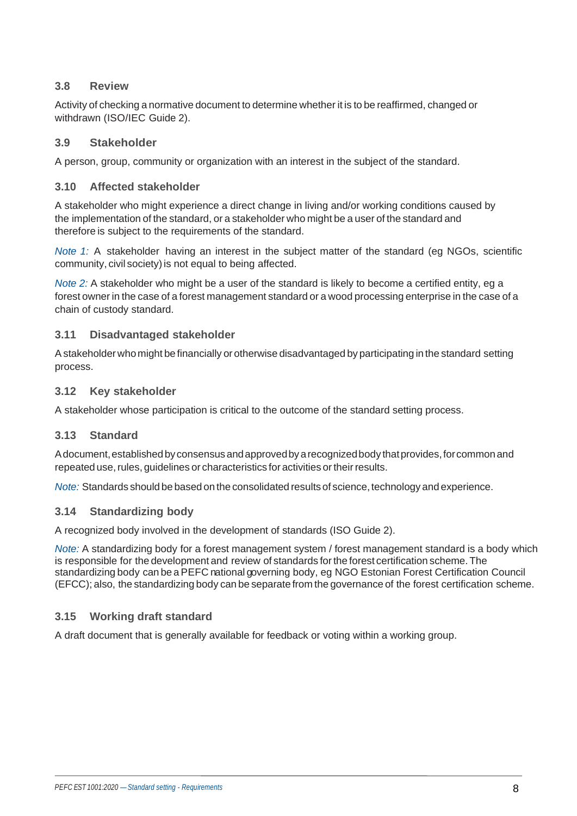## **3.8 Review**

Activity of checking a normative document to determine whether it is to be reaffirmed, changed or withdrawn (ISO/IEC Guide 2).

## **3.9 Stakeholder**

A person, group, community or organization with an interest in the subject of the standard.

## **3.10 Affected stakeholder**

A stakeholder who might experience a direct change in living and/or working conditions caused by the implementation of the standard, or a stakeholder who might be a user of the standard and therefore is subject to the requirements of the standard.

*Note* 1: A stakeholder having an interest in the subject matter of the standard (eg NGOs, scientific community, civil society) is not equal to being affected.

*Note 2:* A stakeholder who might be a user of the standard is likely to become a certified entity, eg a forest owner in the case of a forest management standard or a wood processing enterprise in the case of a chain of custody standard.

## **3.11 Disadvantaged stakeholder**

Astakeholder who might be financially or otherwise disadvantaged by participating in the standard setting process.

#### **3.12 Key stakeholder**

A stakeholder whose participation is critical to the outcome of the standard setting process.

## **3.13 Standard**

Adocument,establishedbyconsensusandapprovedbyarecognizedbody thatprovides,forcommonand repeated use, rules, guidelines or characteristics for activities or their results.

*Note:* Standards should be based on the consolidated results of science, technology and experience.

## **3.14 Standardizing body**

A recognized body involved in the development of standards (ISO Guide 2).

*Note:* A standardizing body for a forest management system / forest management standard is a body which is responsible for the development and review of standards forthe forest certification scheme. The standardizing body can be aPEFC national governing body, eg NGO Estonian Forest Certification Council (EFCC); also, the standardizing body can be separate from the governance of the forest certification scheme.

## **3.15 Working draft standard**

A draft document that is generally available for feedback or voting within a working group.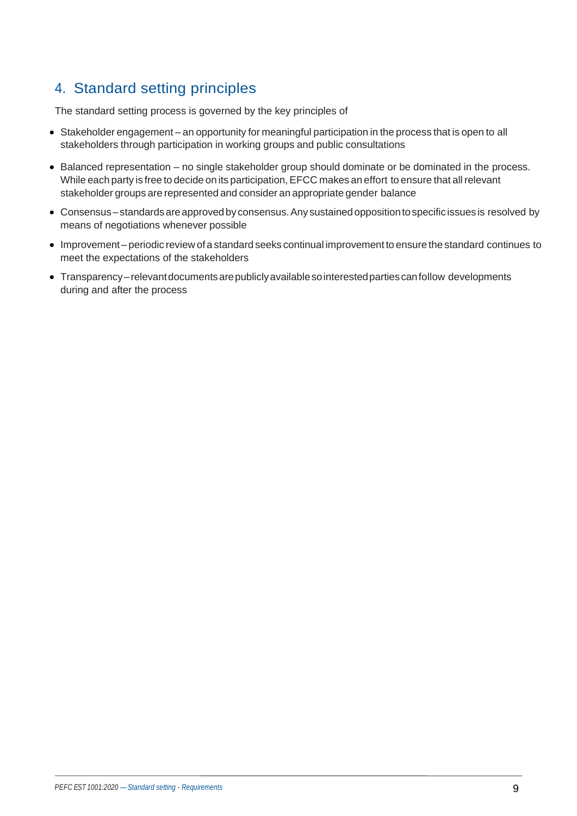# <span id="page-8-0"></span>4. Standard setting principles

The standard setting process is governed by the key principles of

- Stakeholder engagement an opportunity for meaningful participation in the process that is open to all stakeholders through participation in working groups and public consultations
- Balanced representation no single stakeholder group should dominate or be dominated in the process. While each party is free to decide on its participation, EFCC makes an effort to ensure that all relevant stakeholder groups are represented and consider an appropriate gender balance
- Consensus–standardsareapprovedbyconsensus.Any sustainedoppositiontospecific issues is resolved by means of negotiations whenever possible
- Improvement periodic review of a standard seeks continual improvement to ensure the standard continues to meet the expectations of the stakeholders
- Transparency–relevantdocumentsarepubliclyavailablesointerestedpartiescanfollow developments during and after the process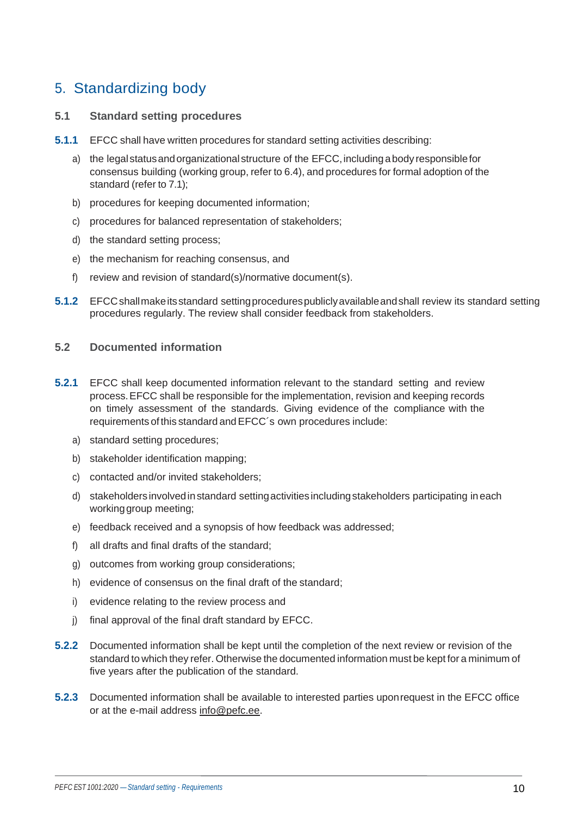# <span id="page-9-0"></span>5. Standardizing body

## **5.1 Standard setting procedures**

- **5.1.1** EFCC shall have written procedures for standard setting activities describing:
	- a) the legal status and organizational structure of the EFCC, including a body responsible for consensus building (working group, refer to 6.4), and procedures for formal adoption of the standard (refer to 7.1);
	- b) procedures for keeping documented information;
	- c) procedures for balanced representation of stakeholders;
	- d) the standard setting process;
	- e) the mechanism for reaching consensus, and
	- f) review and revision of standard(s)/normative document(s).
- **5.1.2** EFCC shall make its standard setting procedures publicly available and shall review its standard setting procedures regularly. The review shall consider feedback from stakeholders.

#### **5.2 Documented information**

- **5.2.1** EFCC shall keep documented information relevant to the standard setting and review process.EFCC shall be responsible for the implementation, revision and keeping records on timely assessment of the standards. Giving evidence of the compliance with the requirements of this standard andEFCC´s own procedures include:
	- a) standard setting procedures;
	- b) stakeholder identification mapping;
	- c) contacted and/or invited stakeholders;
	- d) stakeholdersinvolvedinstandard settingactivities includingstakeholders participating ineach working group meeting;
	- e) feedback received and a synopsis of how feedback was addressed;
	- f) all drafts and final drafts of the standard;
	- g) outcomes from working group considerations;
	- h) evidence of consensus on the final draft of the standard;
	- i) evidence relating to the review process and
	- j) final approval of the final draft standard by EFCC.
- **5.2.2** Documented information shall be kept until the completion of the next review or revision of the standard to which they refer. Otherwise the documented information must be kept for a minimum of five years after the publication of the standard.
- **5.2.3** Documented information shall be available to interested parties uponrequest in the EFCC office or at the e-mail address [info@pefc.ee.](mailto:info@pefc.ee)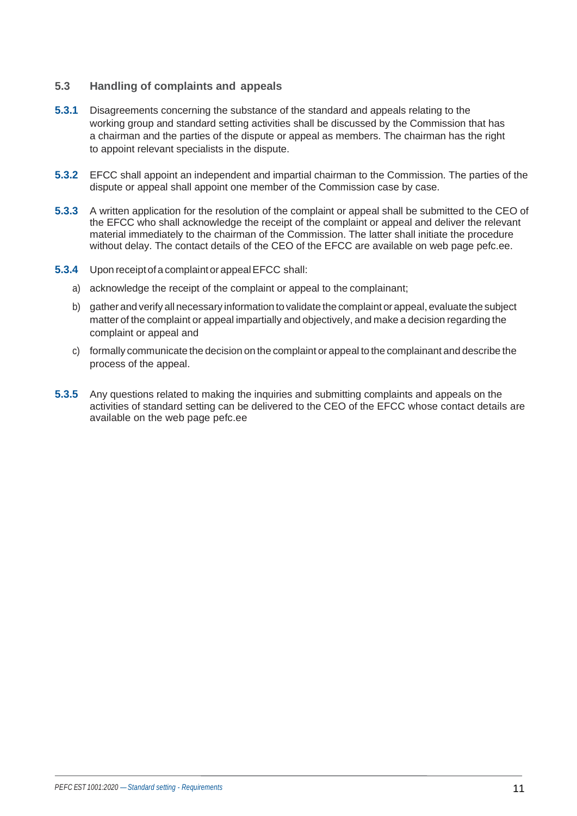## **5.3 Handling of complaints and appeals**

- **5.3.1** Disagreements concerning the substance of the standard and appeals relating to the working group and standard setting activities shall be discussed by the Commission that has a chairman and the parties of the dispute or appeal as members. The chairman has the right to appoint relevant specialists in the dispute.
- **5.3.2** EFCC shall appoint an independent and impartial chairman to the Commission. The parties of the dispute or appeal shall appoint one member of the Commission case by case.
- **5.3.3** A written application for the resolution of the complaint or appeal shall be submitted to the CEO of the EFCC who shall acknowledge the receipt of the complaint or appeal and deliver the relevant material immediately to the chairman of the Commission. The latter shall initiate the procedure without delay. The contact details of the CEO of the EFCC are available on web page pefc.ee.
- **5.3.4** Upon receipt of a complaint or appeal EFCC shall:
	- a) acknowledge the receipt of the complaint or appeal to the complainant;
	- b) gather and verify all necessary information to validate the complaint or appeal, evaluate the subject matter of the complaint or appeal impartially and objectively, and make a decision regarding the complaint or appeal and
	- c) formally communicate the decision on the complaint or appeal to the complainant and describe the process of the appeal.
- **5.3.5** Any questions related to making the inquiries and submitting complaints and appeals on the activities of standard setting can be delivered to the CEO of the EFCC whose contact details are available on the web page pefc.ee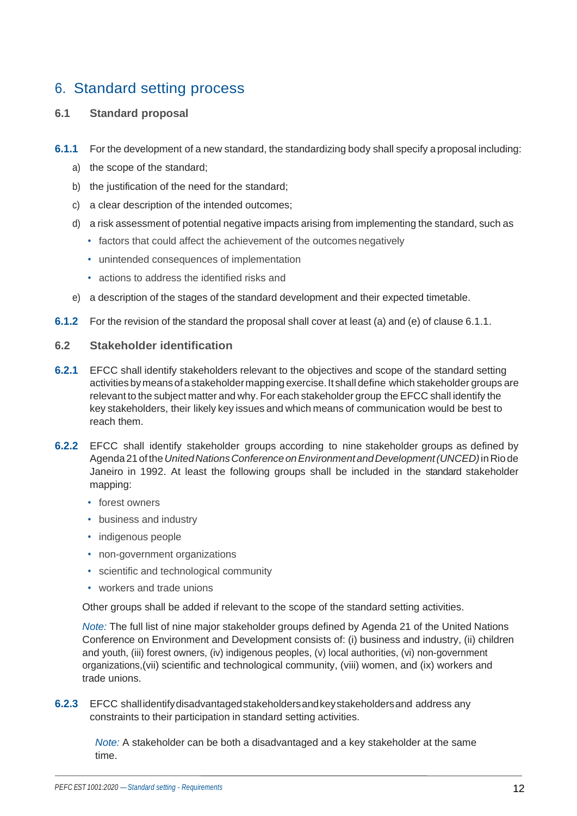## <span id="page-11-0"></span>6. Standard setting process

## **6.1 Standard proposal**

**6.1.1** For the development of a new standard, the standardizing body shall specify a proposal including:

- a) the scope of the standard;
- b) the justification of the need for the standard;
- c) a clear description of the intended outcomes;
- d) a risk assessment of potential negative impacts arising from implementing the standard, such as
	- factors that could affect the achievement of the outcomes negatively
	- unintended consequences of implementation
	- actions to address the identified risks and
- e) a description of the stages of the standard development and their expected timetable.
- **6.1.2** For the revision of the standard the proposal shall cover at least (a) and (e) of clause 6.1.1.

## **6.2 Stakeholder identification**

- **6.2.1** EFCC shall identify stakeholders relevant to the objectives and scope of the standard setting activities bymeansofastakeholdermappingexercise.It shall define which stakeholder groups are relevant to the subject matter and why. For each stakeholder group the EFCC shall identify the key stakeholders, their likely key issues and which means of communication would be best to reach them.
- **6.2.2** EFCC shall identify stakeholder groups according to nine stakeholder groups as defined by Agenda 21ofthe*UnitedNationsConference onEnvironmentandDevelopment(UNCED)*inRiode Janeiro in 1992. At least the following groups shall be included in the standard stakeholder mapping:
	- forest owners
	- business and industry
	- indigenous people
	- non-government organizations
	- scientific and technological community
	- workers and trade unions

Other groups shall be added if relevant to the scope of the standard setting activities.

*Note:* The full list of nine major stakeholder groups defined by Agenda 21 of the United Nations Conference on Environment and Development consists of: (i) business and industry, (ii) children and youth, (iii) forest owners, (iv) indigenous peoples, (v) local authorities, (vi) non-government organizations,(vii) scientific and technological community, (viii) women, and (ix) workers and trade unions.

**6.2.3** EFCC shallidentifydisadvantagedstakeholdersandkeystakeholdersand address any constraints to their participation in standard setting activities.

*Note:* A stakeholder can be both a disadvantaged and a key stakeholder at the same time.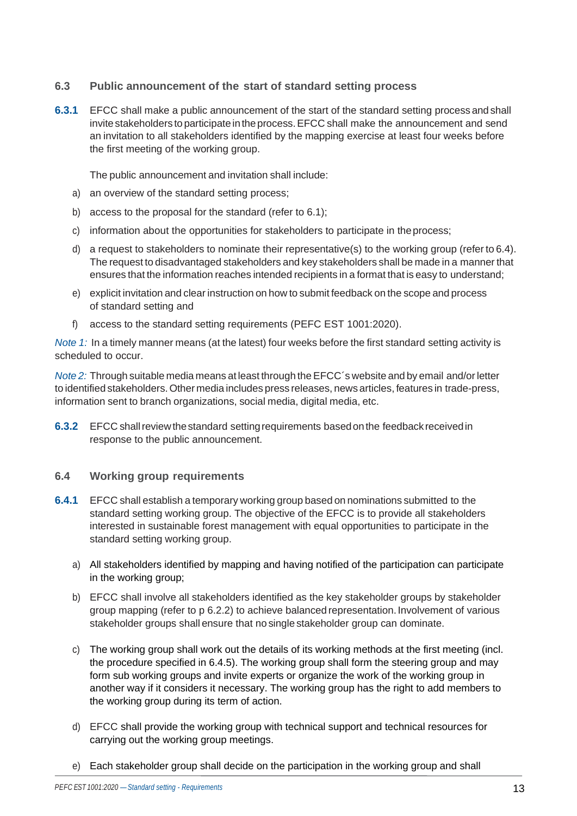## **6.3 Public announcement of the start of standard setting process**

**6.3.1** EFCC shall make a public announcement of the start of the standard setting process andshall invite stakeholders to participate in the process. EFCC shall make the announcement and send an invitation to all stakeholders identified by the mapping exercise at least four weeks before the first meeting of the working group.

The public announcement and invitation shall include:

- a) an overview of the standard setting process;
- b) access to the proposal for the standard (refer to 6.1);
- c) information about the opportunities for stakeholders to participate in theprocess;
- d) a request to stakeholders to nominate their representative(s) to the working group (refer to 6.4). The request to disadvantaged stakeholders and key stakeholders shall be made in a manner that ensures that the information reaches intended recipients in a format that is easy to understand;
- e) explicit invitation and clear instruction on how to submit feedback on the scope and process of standard setting and
- f) access to the standard setting requirements (PEFC EST 1001:2020).

*Note* 1: In a timely manner means (at the latest) four weeks before the first standard setting activity is scheduled to occur.

*Note* 2: Through suitable media means at least through the EFCC's website and by email and/or letter to identified stakeholders.Other media includes press releases, news articles, features in trade-press, information sent to branch organizations, social media, digital media, etc.

**6.3.2** EFCC shallreviewthestandard settingrequirements basedonthe feedback receivedin response to the public announcement.

## **6.4 Working group requirements**

- **6.4.1** EFCC shall establish a temporary working group based on nominations submitted to the standard setting working group. The objective of the EFCC is to provide all stakeholders interested in sustainable forest management with equal opportunities to participate in the standard setting working group.
	- a) All stakeholders identified by mapping and having notified of the participation can participate in the working group;
	- b) EFCC shall involve all stakeholders identified as the key stakeholder groups by stakeholder group mapping (refer to p 6.2.2) to achieve balanced representation. Involvement of various stakeholder groups shall ensure that no single stakeholder group can dominate.
	- c) The working group shall work out the details of its working methods at the first meeting (incl. the procedure specified in 6.4.5). The working group shall form the steering group and may form sub working groups and invite experts or organize the work of the working group in another way if it considers it necessary. The working group has the right to add members to the working group during its term of action.
	- d) EFCC shall provide the working group with technical support and technical resources for carrying out the working group meetings.
	- e) Each stakeholder group shall decide on the participation in the working group and shall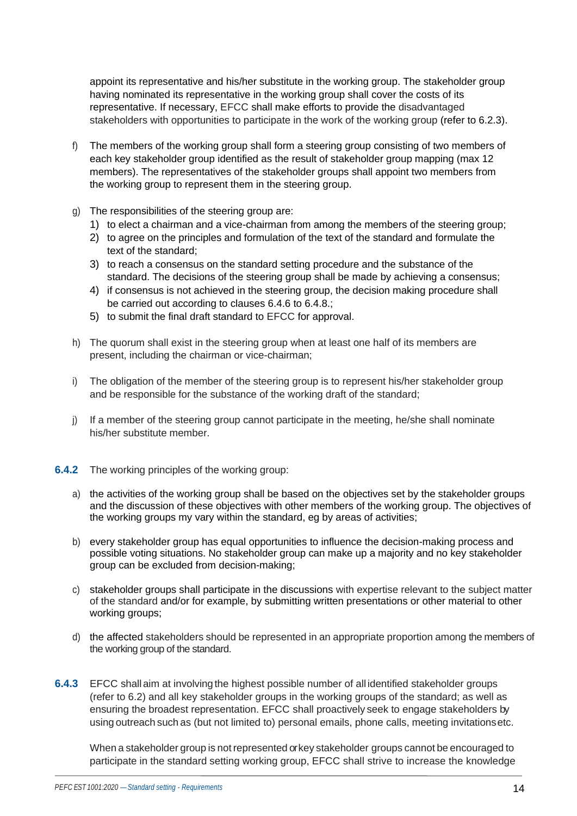appoint its representative and his/her substitute in the working group. The stakeholder group having nominated its representative in the working group shall cover the costs of its representative. If necessary, EFCC shall make efforts to provide the disadvantaged stakeholders with opportunities to participate in the work of the working group (refer to 6.2.3).

- f) The members of the working group shall form a steering group consisting of two members of each key stakeholder group identified as the result of stakeholder group mapping (max 12 members). The representatives of the stakeholder groups shall appoint two members from the working group to represent them in the steering group.
- g) The responsibilities of the steering group are:
	- 1) to elect a chairman and a vice-chairman from among the members of the steering group;
	- 2) to agree on the principles and formulation of the text of the standard and formulate the text of the standard;
	- 3) to reach a consensus on the standard setting procedure and the substance of the standard. The decisions of the steering group shall be made by achieving a consensus;
	- 4) if consensus is not achieved in the steering group, the decision making procedure shall be carried out according to clauses 6.4.6 to 6.4.8.;
	- 5) to submit the final draft standard to EFCC for approval.
- h) The quorum shall exist in the steering group when at least one half of its members are present, including the chairman or vice-chairman;
- i) The obligation of the member of the steering group is to represent his/her stakeholder group and be responsible for the substance of the working draft of the standard;
- j) If a member of the steering group cannot participate in the meeting, he/she shall nominate his/her substitute member.
- **6.4.2** The working principles of the working group:
	- a) the activities of the working group shall be based on the objectives set by the stakeholder groups and the discussion of these objectives with other members of the working group. The objectives of the working groups my vary within the standard, eg by areas of activities;
	- b) every stakeholder group has equal opportunities to influence the decision-making process and possible voting situations. No stakeholder group can make up a majority and no key stakeholder group can be excluded from decision-making;
	- c) stakeholder groups shall participate in the discussions with expertise relevant to the subject matter of the standard and/or for example, by submitting written presentations or other material to other working groups;
	- d) the affected stakeholders should be represented in an appropriate proportion among the members of the working group of the standard.
- **6.4.3** EFCC shall aim at involving the highest possible number of all identified stakeholder groups (refer to 6.2) and all key stakeholder groups in the working groups of the standard; as well as ensuring the broadest representation. EFCC shall proactively seek to engage stakeholders by using outreach such as (but not limited to) personal emails, phone calls, meeting invitationsetc.

When a stakeholder group is notrepresented or key stakeholder groups cannot be encouraged to participate in the standard setting working group, EFCC shall strive to increase the knowledge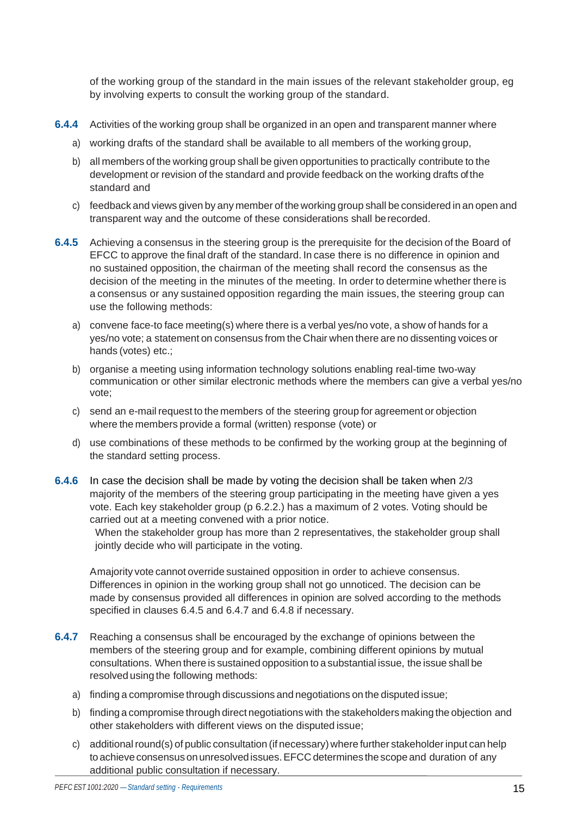of the working group of the standard in the main issues of the relevant stakeholder group, eg by involving experts to consult the working group of the standard.

- **6.4.4** Activities of the working group shall be organized in an open and transparent manner where
	- a) working drafts of the standard shall be available to all members of the working group,
	- b) all members of the working group shall be given opportunities to practically contribute to the development or revision of the standard and provide feedback on the working drafts of the standard and
	- c) feedback and views given by any member of the working group shall be considered in an open and transparent way and the outcome of these considerations shall berecorded.
- **6.4.5** Achieving a consensus in the steering group is the prerequisite for the decision of the Board of EFCC to approve the final draft of the standard. In case there is no difference in opinion and no sustained opposition, the chairman of the meeting shall record the consensus as the decision of the meeting in the minutes of the meeting. In order to determine whether there is a consensus or any sustained opposition regarding the main issues, the steering group can use the following methods:
	- a) convene face-to face meeting(s) where there is a verbal yes/no vote, a show of hands for a yes/no vote; a statement on consensus from the Chair when there are no dissenting voices or hands (votes) etc.;
	- b) organise a meeting using information technology solutions enabling real-time two-way communication or other similar electronic methods where the members can give a verbal yes/no vote;
	- c) send an e-mail request to the members of the steering group for agreement or objection where the members provide a formal (written) response (vote) or
	- d) use combinations of these methods to be confirmed by the working group at the beginning of the standard setting process.
- **6.4.6** In case the decision shall be made by voting the decision shall be taken when 2/3 majority of the members of the steering group participating in the meeting have given a yes vote. Each key stakeholder group (p 6.2.2.) has a maximum of 2 votes. Voting should be carried out at a meeting convened with a prior notice.

When the stakeholder group has more than 2 representatives, the stakeholder group shall jointly decide who will participate in the voting.

A majority vote cannot override sustained opposition in order to achieve consensus. Differences in opinion in the working group shall not go unnoticed. The decision can be made by consensus provided all differences in opinion are solved according to the methods specified in clauses 6.4.5 and 6.4.7 and 6.4.8 if necessary.

- **6.4.7** Reaching a consensus shall be encouraged by the exchange of opinions between the members of the steering group and for example, combining different opinions by mutual consultations. When there is sustained opposition to a substantial issue, the issue shall be resolved using the following methods:
	- a) finding a compromise through discussions and negotiations on the disputed issue;
	- b) finding a compromise through direct negotiations with the stakeholders making the objection and other stakeholders with different views on the disputed issue;
	- c) additional round(s) of public consultation (if necessary) where further stakeholderinput can help to achieve consensus on unresolved issues. EFCC determines the scope and duration of any additional public consultation if necessary.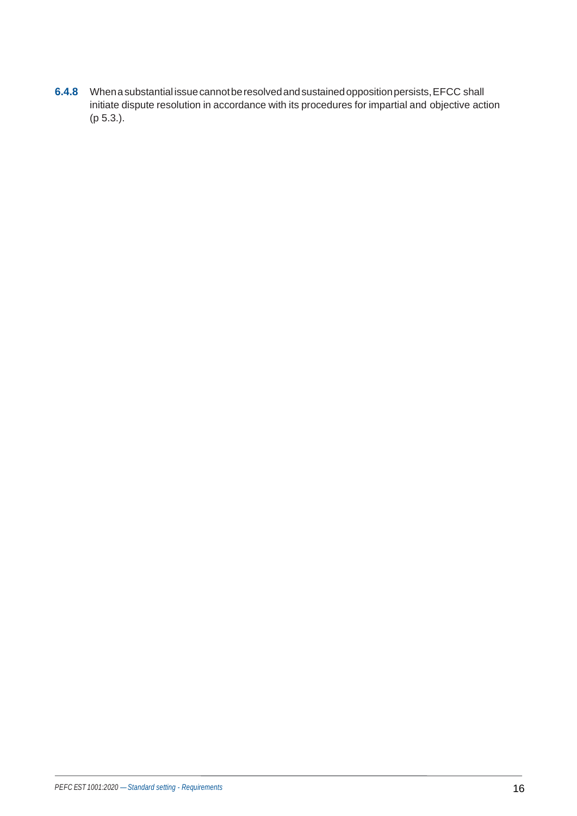**6.4.8** When a substantial issue cannot be resolved and sustained opposition persists, EFCC shall initiate dispute resolution in accordance with its procedures for impartial and objective action (p 5.3.).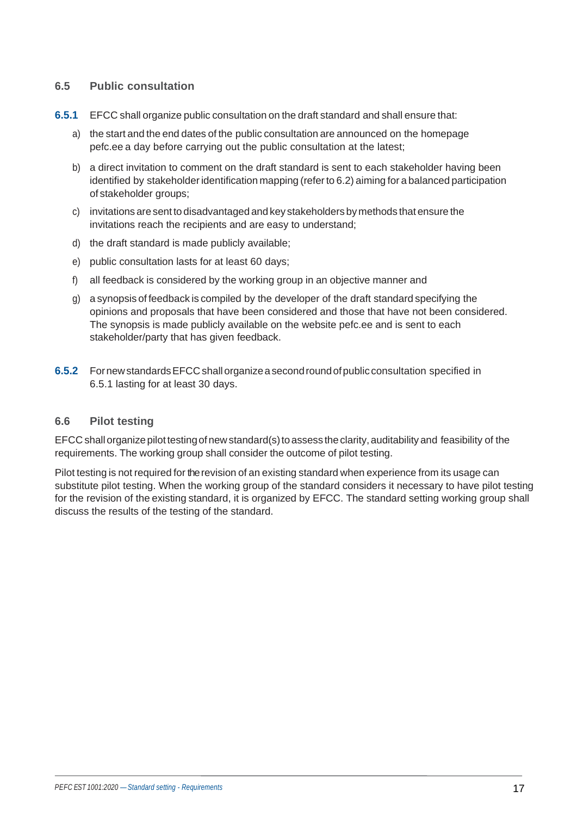## **6.5 Public consultation**

- **6.5.1** EFCC shall organize public consultation on the draft standard and shall ensure that:
	- a) the start and the end dates of the public consultation are announced on the homepage pefc.ee a day before carrying out the public consultation at the latest;
	- b) a direct invitation to comment on the draft standard is sent to each stakeholder having been identified by stakeholder identification mapping (refer to 6.2) aiming for a balanced participation of stakeholder groups;
	- c) invitations are sent to disadvantaged and key stakeholdersbymethods that ensure the invitations reach the recipients and are easy to understand;
	- d) the draft standard is made publicly available;
	- e) public consultation lasts for at least 60 days;
	- f) all feedback is considered by the working group in an objective manner and
	- g) a synopsis of feedback is compiled by the developer of the draft standard specifying the opinions and proposals that have been considered and those that have not been considered. The synopsis is made publicly available on the website pefc.ee and is sent to each stakeholder/party that has given feedback.
- **6.5.2** FornewstandardsEFCC shallorganizeasecondroundofpublic consultation specified in 6.5.1 lasting for at least 30 days.

## **6.6 Pilot testing**

EFCC shall organize pilot testing of new standard(s) to assess the clarity, auditability and feasibility of the requirements. The working group shall consider the outcome of pilot testing.

Pilot testing is not required for the revision of an existing standard when experience from its usage can substitute pilot testing. When the working group of the standard considers it necessary to have pilot testing for the revision of the existing standard, it is organized by EFCC. The standard setting working group shall discuss the results of the testing of the standard.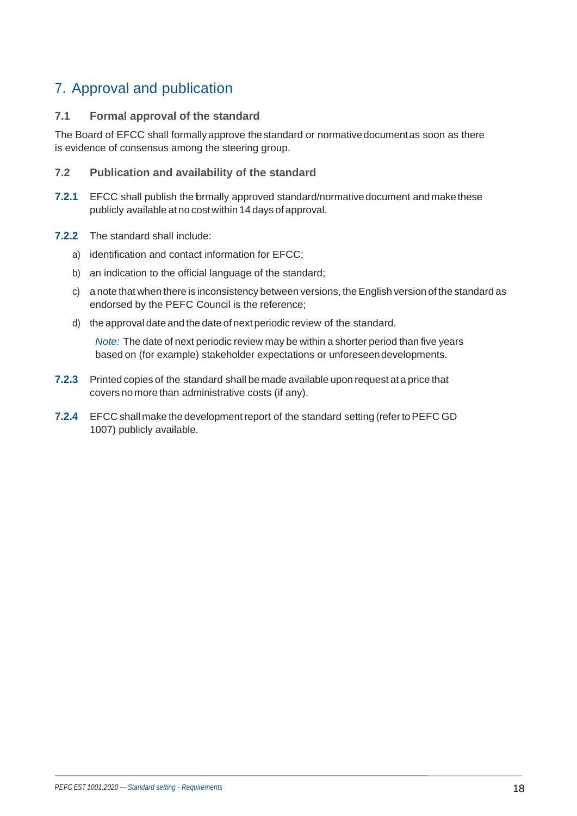# <span id="page-17-0"></span>7. Approval and publication

## **7.1 Formal approval of the standard**

The Board of EFCC shall formally approve thestandard or normativedocumentas soon as there is evidence of consensus among the steering group.

## **7.2 Publication and availability of the standard**

- **7.2.1** EFCC shall publish the formally approved standard/normative document and make these publicly available at no cost within 14 days of approval.
- **7.2.2** The standard shall include:
	- a) identification and contact information for EFCC;
	- b) an indication to the official language of the standard;
	- c) a note that when there is inconsistency between versions, theEnglish version of the standard as endorsed by the PEFC Council is the reference;
	- d) the approval date and the date of next periodic review of the standard.

*Note:* The date of next periodic review may be within a shorter period than five years based on (for example) stakeholder expectations or unforeseendevelopments.

- **7.2.3** Printed copies of the standard shall be made available upon request at a price that covers no more than administrative costs (if any).
- **7.2.4** EFCC shall make the development report of the standard setting (refer to PEFC GD 1007) publicly available.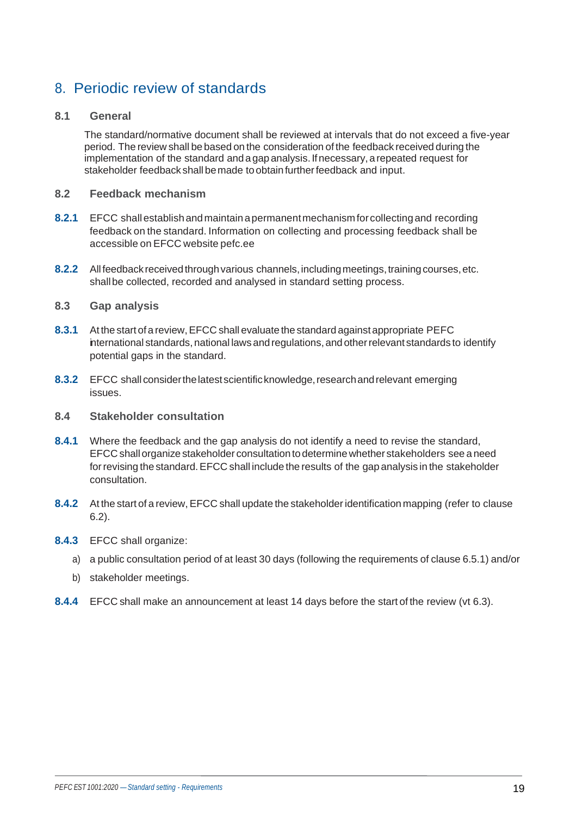## <span id="page-18-0"></span>8. Periodic review of standards

## **8.1 General**

The standard/normative document shall be reviewed at intervals that do not exceed a five-year period. The review shall be based on the consideration of the feedback received during the implementation of the standard and a gap analysis. If necessary, a repeated request for stakeholder feedback shall bemade toobtain furtherfeedback and input.

#### **8.2 Feedback mechanism**

- **8.2.1** EFCC shallestablishandmaintainapermanentmechanism forcollectingand recording feedback on the standard. Information on collecting and processing feedback shall be accessible on EFCC website pefc.ee
- **8.2.2** Allfeedback received through various channels, including meetings, training courses, etc. shallbe collected, recorded and analysed in standard setting process.

### **8.3 Gap analysis**

- **8.3.1** At the start of a review, EFCC shall evaluate the standard against appropriate PEFC international standards, national laws and regulations, and other relevant standards to identify potential gaps in the standard.
- **8.3.2** EFCC shall consider the latest scientific knowledge, research and relevant emerging issues.

#### **8.4 Stakeholder consultation**

- **8.4.1** Where the feedback and the gap analysis do not identify a need to revise the standard, EFCC shall organizestakeholder consultationtodeterminewhether stakeholders see a need forrevising the standard.EFCC shall include the results of the gap analysis in the stakeholder consultation.
- 8.4.2 At the start of a review, EFCC shall update the stakeholder identification mapping (refer to clause 6.2).
- **8.4.3** EFCC shall organize:
	- a) a public consultation period of at least 30 days (following the requirements of clause 6.5.1) and/or
	- b) stakeholder meetings.
- **8.4.4** EFCC shall make an announcement at least 14 days before the start of the review (vt 6.3).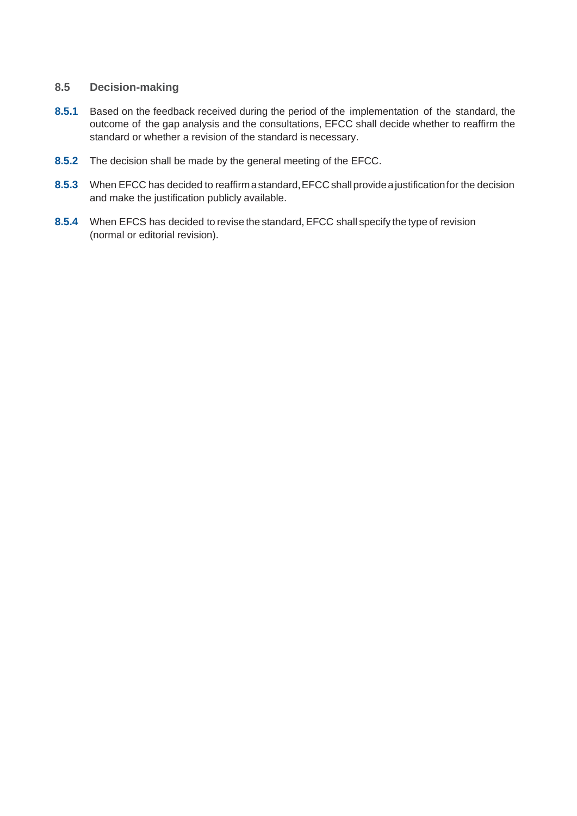## **8.5 Decision-making**

- **8.5.1** Based on the feedback received during the period of the implementation of the standard, the outcome of the gap analysis and the consultations, EFCC shall decide whether to reaffirm the standard or whether a revision of the standard is necessary.
- **8.5.2** The decision shall be made by the general meeting of the EFCC.
- 8.5.3 When EFCC has decided to reaffirm a standard, EFCC shall provide a justification for the decision and make the justification publicly available.
- **8.5.4** When EFCS has decided to revise the standard, EFCC shall specify the type of revision (normal or editorial revision).